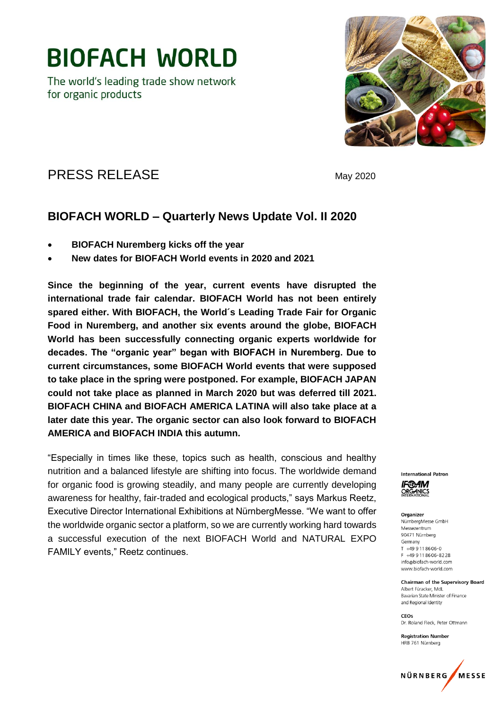The world's leading trade show network for organic products



### PRESS RELEASE May 2020

### **BIOFACH WORLD – Quarterly News Update Vol. II 2020**

- **BIOFACH Nuremberg kicks off the year**
- **New dates for BIOFACH World events in 2020 and 2021**

**Since the beginning of the year, current events have disrupted the international trade fair calendar. BIOFACH World has not been entirely spared either. With BIOFACH, the World´s Leading Trade Fair for Organic Food in Nuremberg, and another six events around the globe, BIOFACH World has been successfully connecting organic experts worldwide for decades. The "organic year" began with BIOFACH in Nuremberg. Due to current circumstances, some BIOFACH World events that were supposed to take place in the spring were postponed. For example, BIOFACH JAPAN could not take place as planned in March 2020 but was deferred till 2021. BIOFACH CHINA and BIOFACH AMERICA LATINA will also take place at a later date this year. The organic sector can also look forward to BIOFACH AMERICA and BIOFACH INDIA this autumn.**

"Especially in times like these, topics such as health, conscious and healthy nutrition and a balanced lifestyle are shifting into focus. The worldwide demand for organic food is growing steadily, and many people are currently developing awareness for healthy, fair-traded and ecological products," says Markus Reetz, Executive Director International Exhibitions at NürnbergMesse. "We want to offer the worldwide organic sector a platform, so we are currently working hard towards a successful execution of the next BIOFACH World and NATURAL EXPO FAMILY events," Reetz continues.



Organizer NürnbergMesse GmbH Messezentrum 90471 Nürnberg Germany  $T + 499118606 - 0$ F +49 9 11 86 06 - 82 28 info@biofach-world.com www.biofach-world.com

**Chairman of the Supervisory Board** Albert Füracker, MdL Bavarian State Minister of Finance and Regional Identity

 $C E$ Dr. Roland Fleck, Peter Ottmann

**Registration Number** HRB 761 Nürnberg

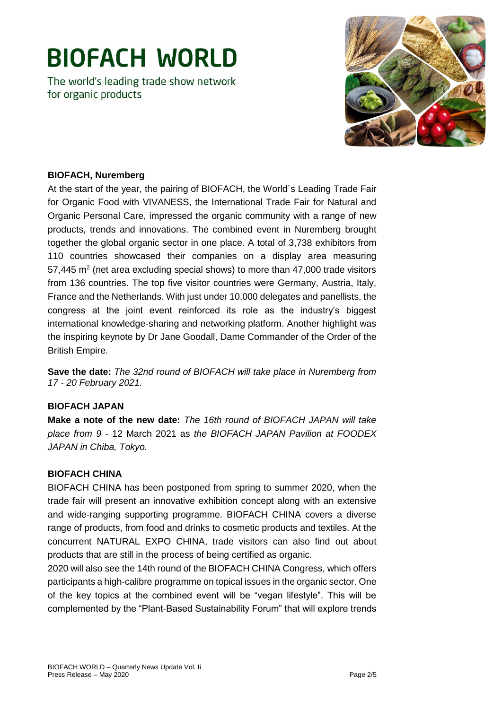The world's leading trade show network for organic products



#### **BIOFACH, Nuremberg**

At the start of the year, the pairing of BIOFACH, the World´s Leading Trade Fair for Organic Food with VIVANESS, the International Trade Fair for Natural and Organic Personal Care, impressed the organic community with a range of new products, trends and innovations. The combined event in Nuremberg brought together the global organic sector in one place. A total of 3,738 exhibitors from 110 countries showcased their companies on a display area measuring 57,445  $\text{m}^2$  (net area excluding special shows) to more than 47,000 trade visitors from 136 countries. The top five visitor countries were Germany, Austria, Italy, France and the Netherlands. With just under 10,000 delegates and panellists, the congress at the joint event reinforced its role as the industry's biggest international knowledge-sharing and networking platform. Another highlight was the inspiring keynote by Dr Jane Goodall, Dame Commander of the Order of the British Empire.

**Save the date:** *The 32nd round of BIOFACH will take place in Nuremberg from 17 - 20 February 2021.*

#### **BIOFACH JAPAN**

**Make a note of the new date:** *The 16th round of BIOFACH JAPAN will take place from 9* - 12 March 2021 as *the BIOFACH JAPAN Pavilion at FOODEX JAPAN in Chiba, Tokyo.*

#### **BIOFACH CHINA**

BIOFACH CHINA has been postponed from spring to summer 2020, when the trade fair will present an innovative exhibition concept along with an extensive and wide-ranging supporting programme. BIOFACH CHINA covers a diverse range of products, from food and drinks to cosmetic products and textiles. At the concurrent NATURAL EXPO CHINA, trade visitors can also find out about products that are still in the process of being certified as organic.

2020 will also see the 14th round of the BIOFACH CHINA Congress, which offers participants a high-calibre programme on topical issues in the organic sector. One of the key topics at the combined event will be "vegan lifestyle". This will be complemented by the "Plant-Based Sustainability Forum" that will explore trends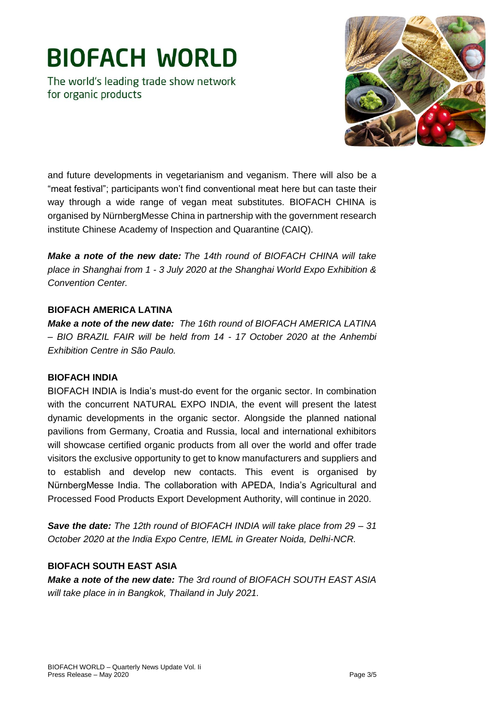The world's leading trade show network for organic products



and future developments in vegetarianism and veganism. There will also be a "meat festival"; participants won't find conventional meat here but can taste their way through a wide range of vegan meat substitutes. BIOFACH CHINA is organised by NürnbergMesse China in partnership with the government research institute Chinese Academy of Inspection and Quarantine (CAIQ).

*Make a note of the new date: The 14th round of BIOFACH CHINA will take place in Shanghai from 1 - 3 July 2020 at the Shanghai World Expo Exhibition & Convention Center.*

#### **BIOFACH AMERICA LATINA**

*Make a note of the new date: The 16th round of BIOFACH AMERICA LATINA – BIO BRAZIL FAIR will be held from 14 - 17 October 2020 at the Anhembi Exhibition Centre in São Paulo.*

#### **BIOFACH INDIA**

BIOFACH INDIA is India's must-do event for the organic sector. In combination with the concurrent NATURAL EXPO INDIA, the event will present the latest dynamic developments in the organic sector. Alongside the planned national pavilions from Germany, Croatia and Russia, local and international exhibitors will showcase certified organic products from all over the world and offer trade visitors the exclusive opportunity to get to know manufacturers and suppliers and to establish and develop new contacts. This event is organised by NürnbergMesse India. The collaboration with APEDA, India's Agricultural and Processed Food Products Export Development Authority, will continue in 2020.

*Save the date: The 12th round of BIOFACH INDIA will take place from 29 – 31 October 2020 at the India Expo Centre, IEML in Greater Noida, Delhi-NCR.* 

#### **BIOFACH SOUTH EAST ASIA**

*Make a note of the new date: The 3rd round of BIOFACH SOUTH EAST ASIA will take place in in Bangkok, Thailand in July 2021.*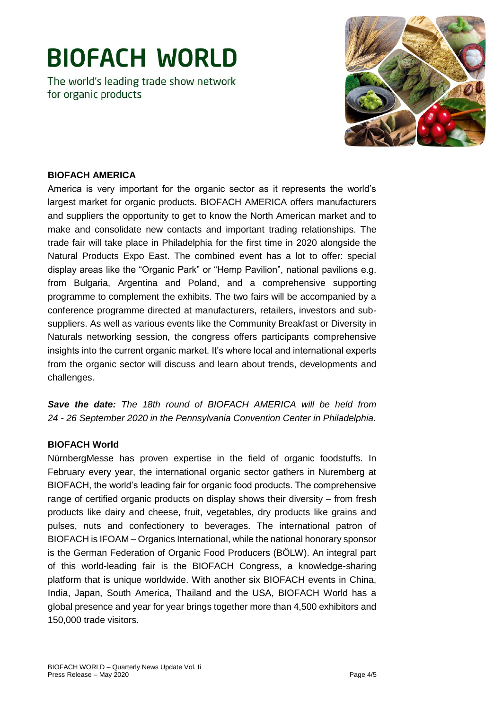The world's leading trade show network for organic products



#### **BIOFACH AMERICA**

America is very important for the organic sector as it represents the world's largest market for organic products. BIOFACH AMERICA offers manufacturers and suppliers the opportunity to get to know the North American market and to make and consolidate new contacts and important trading relationships. The trade fair will take place in Philadelphia for the first time in 2020 alongside the Natural Products Expo East. The combined event has a lot to offer: special display areas like the "Organic Park" or "Hemp Pavilion", national pavilions e.g. from Bulgaria, Argentina and Poland, and a comprehensive supporting programme to complement the exhibits. The two fairs will be accompanied by a conference programme directed at manufacturers, retailers, investors and subsuppliers. As well as various events like the Community Breakfast or Diversity in Naturals networking session, the congress offers participants comprehensive insights into the current organic market. It's where local and international experts from the organic sector will discuss and learn about trends, developments and challenges.

*Save the date: The 18th round of BIOFACH AMERICA will be held from 24 - 26 September 2020 in the Pennsylvania Convention Center in Philadelphia.*

#### **BIOFACH World**

NürnbergMesse has proven expertise in the field of organic foodstuffs. In February every year, the international organic sector gathers in Nuremberg at BIOFACH, the world's leading fair for organic food products. The comprehensive range of certified organic products on display shows their diversity – from fresh products like dairy and cheese, fruit, vegetables, dry products like grains and pulses, nuts and confectionery to beverages. The international patron of BIOFACH is IFOAM – Organics International, while the national honorary sponsor is the German Federation of Organic Food Producers (BÖLW). An integral part of this world-leading fair is the BIOFACH Congress, a knowledge-sharing platform that is unique worldwide. With another six BIOFACH events in China, India, Japan, South America, Thailand and the USA, BIOFACH World has a global presence and year for year brings together more than 4,500 exhibitors and 150,000 trade visitors.